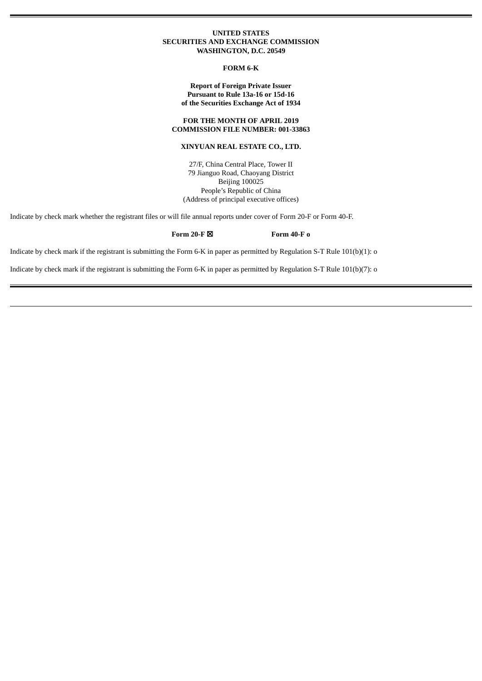## **UNITED STATES SECURITIES AND EXCHANGE COMMISSION WASHINGTON, D.C. 20549**

### **FORM 6-K**

## **Report of Foreign Private Issuer Pursuant to Rule 13a-16 or 15d-16 of the Securities Exchange Act of 1934**

## **FOR THE MONTH OF APRIL 2019 COMMISSION FILE NUMBER: 001-33863**

# **XINYUAN REAL ESTATE CO., LTD.**

27/F, China Central Place, Tower II 79 Jianguo Road, Chaoyang District Beijing 100025 People's Republic of China (Address of principal executive offices)

Indicate by check mark whether the registrant files or will file annual reports under cover of Form 20-F or Form 40-F.

# **Form 20-F** ☒ **Form 40-F o**

Indicate by check mark if the registrant is submitting the Form 6-K in paper as permitted by Regulation S-T Rule 101(b)(1): o

Indicate by check mark if the registrant is submitting the Form 6-K in paper as permitted by Regulation S-T Rule 101(b)(7): o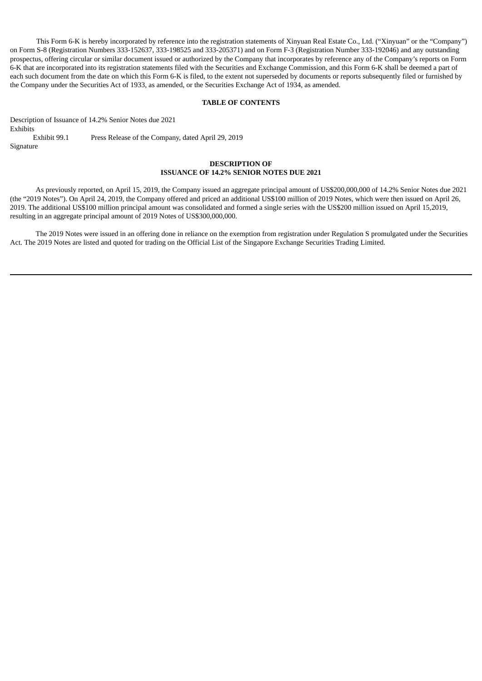This Form 6-K is hereby incorporated by reference into the registration statements of Xinyuan Real Estate Co., Ltd. ("Xinyuan" or the "Company") on Form S-8 (Registration Numbers 333-152637, 333-198525 and 333-205371) and on Form F-3 (Registration Number 333-192046) and any outstanding prospectus, offering circular or similar document issued or authorized by the Company that incorporates by reference any of the Company's reports on Form 6-K that are incorporated into its registration statements filed with the Securities and Exchange Commission, and this Form 6-K shall be deemed a part of each such document from the date on which this Form 6-K is filed, to the extent not superseded by documents or reports subsequently filed or furnished by the Company under the Securities Act of 1933, as amended, or the Securities Exchange Act of 1934, as amended.

## **TABLE OF CONTENTS**

Description of Issuance of 14.2% Senior Notes due 2021 Exhibits Exhibit 99.1 Press Release of the Company, dated April 29, 2019 Signature

# **DESCRIPTION OF ISSUANCE OF 14.2% SENIOR NOTES DUE 2021**

As previously reported, on April 15, 2019, the Company issued an aggregate principal amount of US\$200,000,000 of 14.2% Senior Notes due 2021 (the "2019 Notes"). On April 24, 2019, the Company offered and priced an additional US\$100 million of 2019 Notes, which were then issued on April 26, 2019. The additional US\$100 million principal amount was consolidated and formed a single series with the US\$200 million issued on April 15,2019, resulting in an aggregate principal amount of 2019 Notes of US\$300,000,000.

The 2019 Notes were issued in an offering done in reliance on the exemption from registration under Regulation S promulgated under the Securities Act. The 2019 Notes are listed and quoted for trading on the Official List of the Singapore Exchange Securities Trading Limited.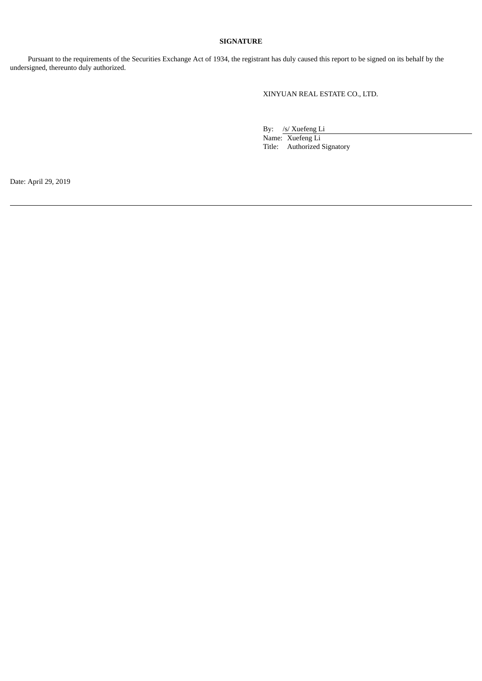# **SIGNATURE**

Pursuant to the requirements of the Securities Exchange Act of 1934, the registrant has duly caused this report to be signed on its behalf by the undersigned, thereunto duly authorized.

XINYUAN REAL ESTATE CO., LTD.

By: /s/ Xuefeng Li

Name: Xuefeng Li Title: Authorized Signatory

Date: April 29, 2019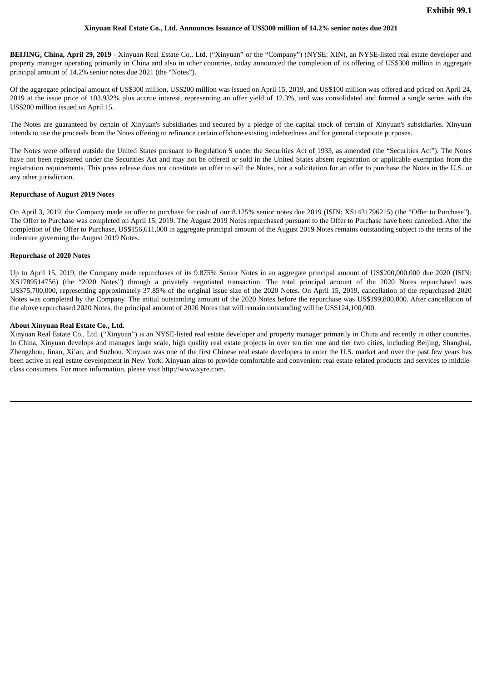### **Xinyuan Real Estate Co., Ltd. Announces Issuance of US\$300 million of 14.2% senior notes due 2021**

**BEIJING, China, April 29, 2019** - Xinyuan Real Estate Co., Ltd. ("Xinyuan" or the "Company") (NYSE: XIN), an NYSE-listed real estate developer and property manager operating primarily in China and also in other countries, today announced the completion of its offering of US\$300 million in aggregate principal amount of 14.2% senior notes due 2021 (the "Notes").

Of the aggregate principal amount of US\$300 million, US\$200 million was issued on April 15, 2019, and US\$100 million was offered and priced on April 24, 2019 at the issue price of 103.932% plus accrue interest, representing an offer yield of 12.3%, and was consolidated and formed a single series with the US\$200 million issued on April 15.

The Notes are guaranteed by certain of Xinyuan's subsidiaries and secured by a pledge of the capital stock of certain of Xinyuan's subsidiaries. Xinyuan intends to use the proceeds from the Notes offering to refinance certain offshore existing indebtedness and for general corporate purposes.

The Notes were offered outside the United States pursuant to Regulation S under the Securities Act of 1933, as amended (the "Securities Act"). The Notes have not been registered under the Securities Act and may not be offered or sold in the United States absent registration or applicable exemption from the registration requirements. This press release does not constitute an offer to sell the Notes, nor a solicitation for an offer to purchase the Notes in the U.S. or any other jurisdiction.

### **Repurchase of August 2019 Notes**

On April 3, 2019, the Company made an offer to purchase for cash of our 8.125% senior notes due 2019 (ISIN: XS1431796215) (the "Offer to Purchase"). The Offer to Purchase was completed on April 15, 2019. The August 2019 Notes repurchased pursuant to the Offer to Purchase have been cancelled. After the completion of the Offer to Purchase, US\$156,611,000 in aggregate principal amount of the August 2019 Notes remains outstanding subject to the terms of the indenture governing the August 2019 Notes.

### **Repurchase of 2020 Notes**

Up to April 15, 2019, the Company made repurchases of its 9.875% Senior Notes in an aggregate principal amount of US\$200,000,000 due 2020 (ISIN: XS1789514756) (the "2020 Notes") through a privately negotiated transaction. The total principal amount of the 2020 Notes repurchased was US\$75,700,000, representing approximately 37.85% of the original issue size of the 2020 Notes. On April 15, 2019, cancellation of the repurchased 2020 Notes was completed by the Company. The initial outstanding amount of the 2020 Notes before the repurchase was US\$199,800,000. After cancellation of the above repurchased 2020 Notes, the principal amount of 2020 Notes that will remain outstanding will be US\$124,100,000.

### **About Xinyuan Real Estate Co., Ltd.**

Xinyuan Real Estate Co., Ltd. ("Xinyuan") is an NYSE-listed real estate developer and property manager primarily in China and recently in other countries. In China, Xinyuan develops and manages large scale, high quality real estate projects in over ten tier one and tier two cities, including Beijing, Shanghai, Zhengzhou, Jinan, Xi'an, and Suzhou. Xinyuan was one of the first Chinese real estate developers to enter the U.S. market and over the past few years has been active in real estate development in New York. Xinyuan aims to provide comfortable and convenient real estate related products and services to middleclass consumers. For more information, please visit http://www.xyre.com.